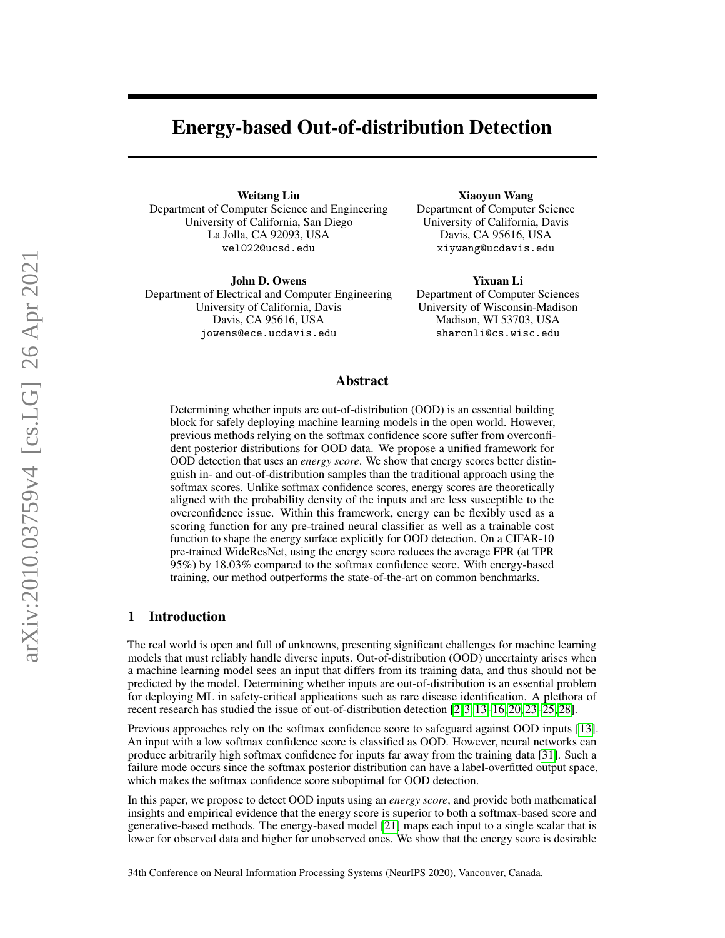# Energy-based Out-of-distribution Detection

Weitang Liu Department of Computer Science and Engineering University of California, San Diego La Jolla, CA 92093, USA wel022@ucsd.edu

John D. Owens Department of Electrical and Computer Engineering University of California, Davis Davis, CA 95616, USA jowens@ece.ucdavis.edu

Xiaoyun Wang Department of Computer Science University of California, Davis Davis, CA 95616, USA xiywang@ucdavis.edu

Yixuan Li Department of Computer Sciences University of Wisconsin-Madison Madison, WI 53703, USA sharonli@cs.wisc.edu

## Abstract

Determining whether inputs are out-of-distribution (OOD) is an essential building block for safely deploying machine learning models in the open world. However, previous methods relying on the softmax confidence score suffer from overconfident posterior distributions for OOD data. We propose a unified framework for OOD detection that uses an *energy score*. We show that energy scores better distinguish in- and out-of-distribution samples than the traditional approach using the softmax scores. Unlike softmax confidence scores, energy scores are theoretically aligned with the probability density of the inputs and are less susceptible to the overconfidence issue. Within this framework, energy can be flexibly used as a scoring function for any pre-trained neural classifier as well as a trainable cost function to shape the energy surface explicitly for OOD detection. On a CIFAR-10 pre-trained WideResNet, using the energy score reduces the average FPR (at TPR 95%) by 18.03% compared to the softmax confidence score. With energy-based training, our method outperforms the state-of-the-art on common benchmarks.

### 1 Introduction

The real world is open and full of unknowns, presenting significant challenges for machine learning models that must reliably handle diverse inputs. Out-of-distribution (OOD) uncertainty arises when a machine learning model sees an input that differs from its training data, and thus should not be predicted by the model. Determining whether inputs are out-of-distribution is an essential problem for deploying ML in safety-critical applications such as rare disease identification. A plethora of recent research has studied the issue of out-of-distribution detection [\[2,](#page-9-0) [3,](#page-9-1) [13](#page-10-0)[–16,](#page-10-1) [20,](#page-10-2) [23–](#page-10-3)[25,](#page-10-4) [28\]](#page-10-5).

Previous approaches rely on the softmax confidence score to safeguard against OOD inputs [\[13\]](#page-10-0). An input with a low softmax confidence score is classified as OOD. However, neural networks can produce arbitrarily high softmax confidence for inputs far away from the training data [\[31\]](#page-10-6). Such a failure mode occurs since the softmax posterior distribution can have a label-overfitted output space, which makes the softmax confidence score suboptimal for OOD detection.

In this paper, we propose to detect OOD inputs using an *energy score*, and provide both mathematical insights and empirical evidence that the energy score is superior to both a softmax-based score and generative-based methods. The energy-based model [\[21\]](#page-10-7) maps each input to a single scalar that is lower for observed data and higher for unobserved ones. We show that the energy score is desirable

34th Conference on Neural Information Processing Systems (NeurIPS 2020), Vancouver, Canada.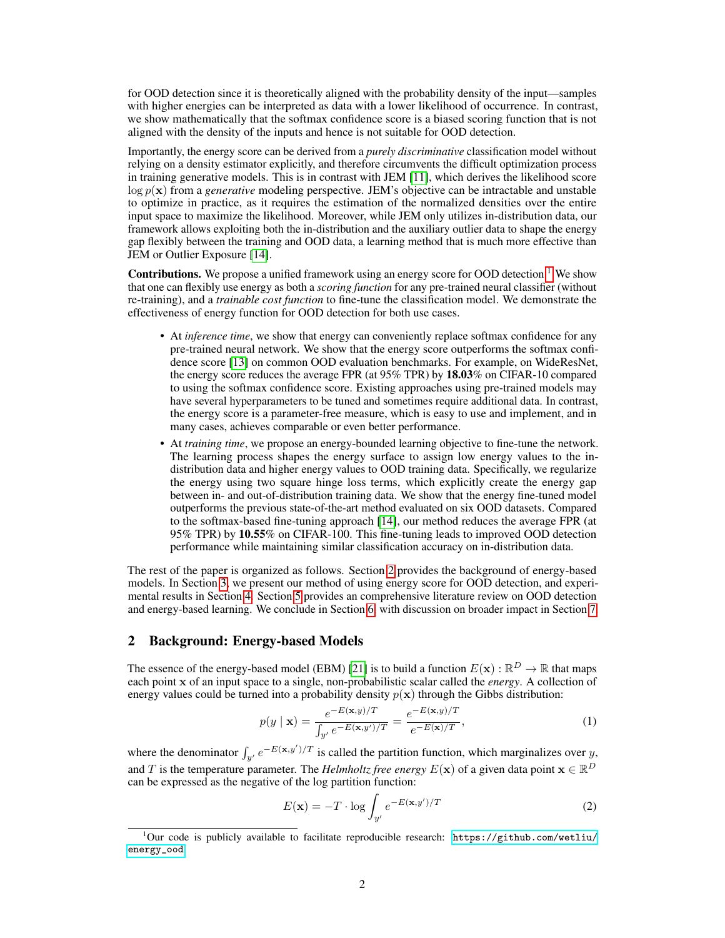for OOD detection since it is theoretically aligned with the probability density of the input—samples with higher energies can be interpreted as data with a lower likelihood of occurrence. In contrast, we show mathematically that the softmax confidence score is a biased scoring function that is not aligned with the density of the inputs and hence is not suitable for OOD detection.

Importantly, the energy score can be derived from a *purely discriminative* classification model without relying on a density estimator explicitly, and therefore circumvents the difficult optimization process in training generative models. This is in contrast with JEM [\[11\]](#page-9-2), which derives the likelihood score log p(x) from a *generative* modeling perspective. JEM's objective can be intractable and unstable to optimize in practice, as it requires the estimation of the normalized densities over the entire input space to maximize the likelihood. Moreover, while JEM only utilizes in-distribution data, our framework allows exploiting both the in-distribution and the auxiliary outlier data to shape the energy gap flexibly between the training and OOD data, a learning method that is much more effective than JEM or Outlier Exposure [\[14\]](#page-10-8).

Contributions. We propose a unified framework using an energy score for OOD detection.<sup>[1](#page-1-0)</sup> We show that one can flexibly use energy as both a *scoring function* for any pre-trained neural classifier (without re-training), and a *trainable cost function* to fine-tune the classification model. We demonstrate the effectiveness of energy function for OOD detection for both use cases.

- At *inference time*, we show that energy can conveniently replace softmax confidence for any pre-trained neural network. We show that the energy score outperforms the softmax confidence score [\[13\]](#page-10-0) on common OOD evaluation benchmarks. For example, on WideResNet, the energy score reduces the average FPR (at 95% TPR) by 18.03% on CIFAR-10 compared to using the softmax confidence score. Existing approaches using pre-trained models may have several hyperparameters to be tuned and sometimes require additional data. In contrast, the energy score is a parameter-free measure, which is easy to use and implement, and in many cases, achieves comparable or even better performance.
- At *training time*, we propose an energy-bounded learning objective to fine-tune the network. The learning process shapes the energy surface to assign low energy values to the indistribution data and higher energy values to OOD training data. Specifically, we regularize the energy using two square hinge loss terms, which explicitly create the energy gap between in- and out-of-distribution training data. We show that the energy fine-tuned model outperforms the previous state-of-the-art method evaluated on six OOD datasets. Compared to the softmax-based fine-tuning approach [\[14\]](#page-10-8), our method reduces the average FPR (at 95% TPR) by 10.55% on CIFAR-100. This fine-tuning leads to improved OOD detection performance while maintaining similar classification accuracy on in-distribution data.

The rest of the paper is organized as follows. Section [2](#page-1-1) provides the background of energy-based models. In Section [3,](#page-2-0) we present our method of using energy score for OOD detection, and experimental results in Section [4.](#page-5-0) Section [5](#page-7-0) provides an comprehensive literature review on OOD detection and energy-based learning. We conclude in Section [6,](#page-8-0) with discussion on broader impact in Section [7.](#page-9-3)

## <span id="page-1-1"></span>2 Background: Energy-based Models

The essence of the energy-based model (EBM) [\[21\]](#page-10-7) is to build a function  $E(\mathbf{x}) : \mathbb{R}^D \to \mathbb{R}$  that maps each point x of an input space to a single, non-probabilistic scalar called the *energy*. A collection of energy values could be turned into a probability density  $p(x)$  through the Gibbs distribution:

$$
p(y \mid \mathbf{x}) = \frac{e^{-E(\mathbf{x}, y)/T}}{\int_{y'} e^{-E(\mathbf{x}, y')/T}} = \frac{e^{-E(\mathbf{x}, y)/T}}{e^{-E(\mathbf{x})/T}},
$$
(1)

where the denominator  $\int_{y'} e^{-E(x,y')/T}$  is called the partition function, which marginalizes over y, and T is the temperature parameter. The *Helmholtz free energy*  $E(\mathbf{x})$  of a given data point  $\mathbf{x} \in \mathbb{R}^D$ can be expressed as the negative of the log partition function:

<span id="page-1-2"></span>
$$
E(\mathbf{x}) = -T \cdot \log \int_{y'} e^{-E(\mathbf{x}, y')/T}
$$
 (2)

<span id="page-1-0"></span><sup>&</sup>lt;sup>1</sup>Our code is publicly available to facilitate reproducible research: [https://github.com/wetliu/](https://github.com/wetliu/energy_ood) [energy\\_ood](https://github.com/wetliu/energy_ood).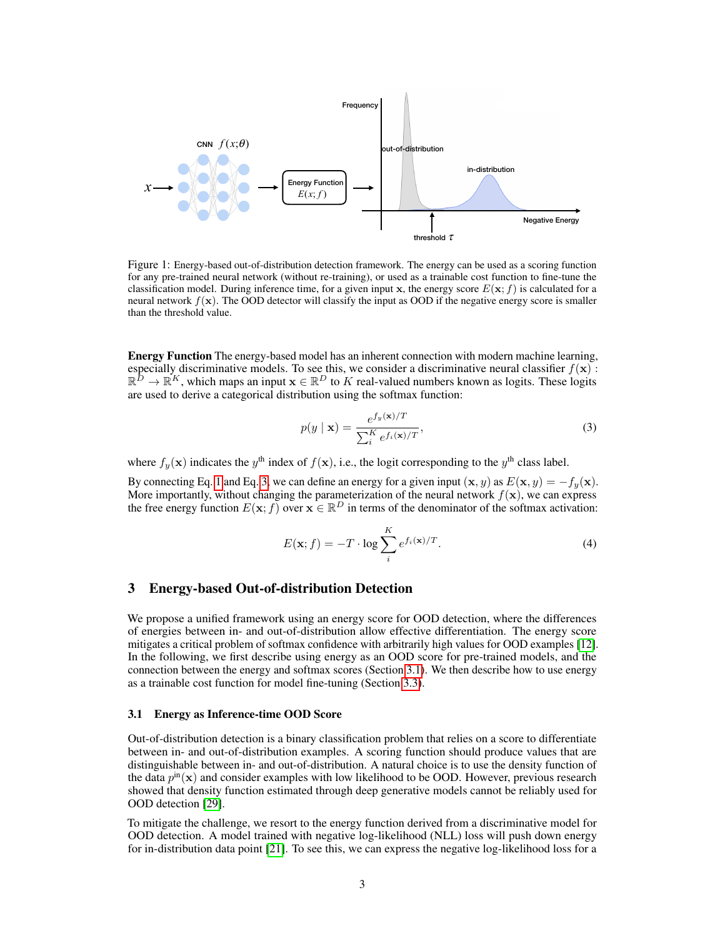

Figure 1: Energy-based out-of-distribution detection framework. The energy can be used as a scoring function for any pre-trained neural network (without re-training), or used as a trainable cost function to fine-tune the classification model. During inference time, for a given input x, the energy score  $E(\mathbf{x}; f)$  is calculated for a neural network  $f(\mathbf{x})$ . The OOD detector will classify the input as OOD if the negative energy score is smaller than the threshold value.

Energy Function The energy-based model has an inherent connection with modern machine learning, especially discriminative models. To see this, we consider a discriminative neural classifier  $f(\mathbf{x})$ :  $\mathbb{R}^D \to \mathbb{R}^K$ , which maps an input  $\mathbf{x} \in \mathbb{R}^D$  to K real-valued numbers known as logits. These logits are used to derive a categorical distribution using the softmax function:

<span id="page-2-1"></span>
$$
p(y \mid \mathbf{x}) = \frac{e^{f_y(\mathbf{x})/T}}{\sum_{i}^{K} e^{f_i(\mathbf{x})/T}},
$$
\n(3)

where  $f_y(\mathbf{x})$  indicates the  $y^{\text{th}}$  index of  $f(\mathbf{x})$ , i.e., the logit corresponding to the  $y^{\text{th}}$  class label.

By connecting Eq. [1](#page-1-2) and Eq. [3,](#page-2-1) we can define an energy for a given input  $(\mathbf{x}, y)$  as  $E(\mathbf{x}, y) = -f_y(\mathbf{x})$ .<br>More importantly, without changing the parameterization of the neural network  $f(\mathbf{x})$ , we can express the free energy function  $E(\mathbf{x}; f)$  over  $\mathbf{x} \in \mathbb{R}^D$  in terms of the denominator of the softmax activation:

<span id="page-2-3"></span>
$$
E(\mathbf{x};f) = -T \cdot \log \sum_{i}^{K} e^{f_i(\mathbf{x})/T}.
$$
 (4)

### <span id="page-2-0"></span>3 Energy-based Out-of-distribution Detection

We propose a unified framework using an energy score for OOD detection, where the differences of energies between in- and out-of-distribution allow effective differentiation. The energy score mitigates a critical problem of softmax confidence with arbitrarily high values for OOD examples [\[12\]](#page-9-4). In the following, we first describe using energy as an OOD score for pre-trained models, and the connection between the energy and softmax scores (Section [3.1\)](#page-2-2). We then describe how to use energy as a trainable cost function for model fine-tuning (Section [3.3\)](#page-4-0).

#### <span id="page-2-2"></span>3.1 Energy as Inference-time OOD Score

Out-of-distribution detection is a binary classification problem that relies on a score to differentiate between in- and out-of-distribution examples. A scoring function should produce values that are distinguishable between in- and out-of-distribution. A natural choice is to use the density function of the data  $p^{\text{in}}(\mathbf{x})$  and consider examples with low likelihood to be OOD. However, previous research showed that density function estimated through deep generative models cannot be reliably used for OOD detection [\[29\]](#page-10-9).

To mitigate the challenge, we resort to the energy function derived from a discriminative model for OOD detection. A model trained with negative log-likelihood (NLL) loss will push down energy for in-distribution data point [\[21\]](#page-10-7). To see this, we can express the negative log-likelihood loss for a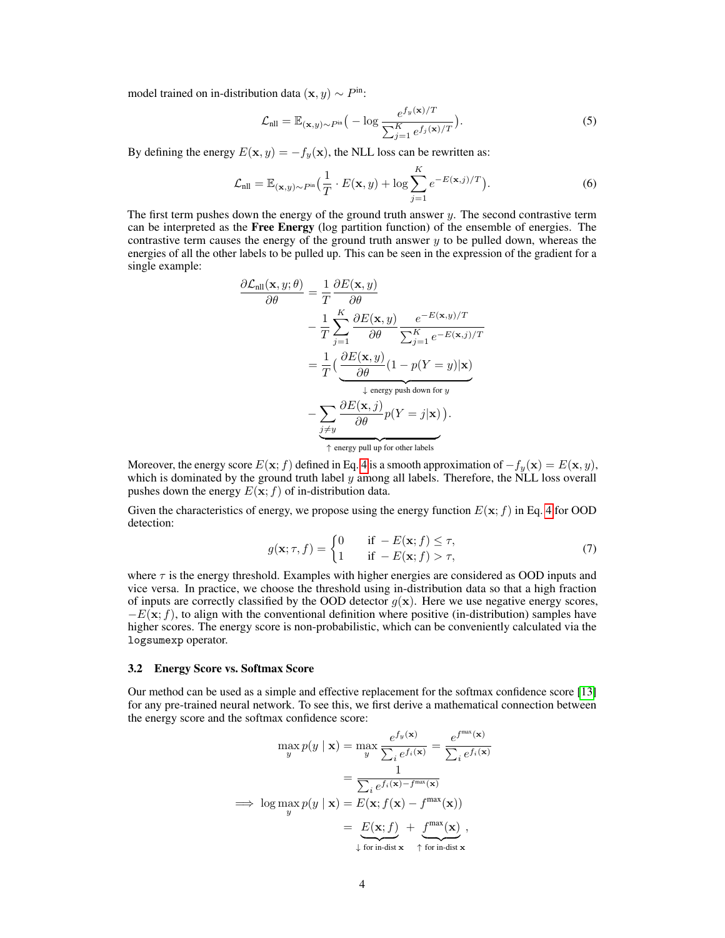model trained on in-distribution data  $(\mathbf{x}, y) \sim P^{\text{in}}$ :

$$
\mathcal{L}_{\text{nll}} = \mathbb{E}_{(\mathbf{x}, y) \sim P^{\text{in}}} \big( -\log \frac{e^{f_y(\mathbf{x})/T}}{\sum_{j=1}^K e^{f_j(\mathbf{x})/T}} \big). \tag{5}
$$

By defining the energy  $E(\mathbf{x}, y) = -f_y(\mathbf{x})$ , the NLL loss can be rewritten as:

$$
\mathcal{L}_{\text{nll}} = \mathbb{E}_{(\mathbf{x},y)\sim P^{\text{in}}} \left( \frac{1}{T} \cdot E(\mathbf{x},y) + \log \sum_{j=1}^{K} e^{-E(\mathbf{x},j)/T} \right). \tag{6}
$$

The first term pushes down the energy of the ground truth answer  $y$ . The second contrastive term can be interpreted as the Free Energy (log partition function) of the ensemble of energies. The contrastive term causes the energy of the ground truth answer  $y$  to be pulled down, whereas the energies of all the other labels to be pulled up. This can be seen in the expression of the gradient for a single example:

$$
\frac{\partial \mathcal{L}_{\text{nl}}(\mathbf{x}, y; \theta)}{\partial \theta} = \frac{1}{T} \frac{\partial E(\mathbf{x}, y)}{\partial \theta} \n- \frac{1}{T} \sum_{j=1}^{K} \frac{\partial E(\mathbf{x}, y)}{\partial \theta} \frac{e^{-E(\mathbf{x}, y)/T}}{\sum_{j=1}^{K} e^{-E(\mathbf{x}, j)/T}} \n= \frac{1}{T} \left( \underbrace{\frac{\partial E(\mathbf{x}, y)}{\partial \theta} (1 - p(Y = y) | \mathbf{x})}_{\downarrow \text{ energy push down for } y} \right. \n- \underbrace{\sum_{j \neq y} \frac{\partial E(\mathbf{x}, j)}{\partial \theta} p(Y = j | \mathbf{x})}_{\uparrow \text{ energy pull up for other labels}}.
$$

Moreover, the energy score  $E(\mathbf{x}; f)$  defined in Eq. [4](#page-2-3) is a smooth approximation of  $-f_y(\mathbf{x}) = E(\mathbf{x}, y)$ , which is dominated by the ground truth label  $y$  among all labels. Therefore, the NLL loss overall pushes down the energy  $E(\mathbf{x}; f)$  of in-distribution data.

Given the characteristics of energy, we propose using the energy function  $E(\mathbf{x}; f)$  in Eq. [4](#page-2-3) for OOD detection:

$$
g(\mathbf{x}; \tau, f) = \begin{cases} 0 & \text{if } -E(\mathbf{x}; f) \le \tau, \\ 1 & \text{if } -E(\mathbf{x}; f) > \tau, \end{cases}
$$
(7)

where  $\tau$  is the energy threshold. Examples with higher energies are considered as OOD inputs and vice versa. In practice, we choose the threshold using in-distribution data so that a high fraction of inputs are correctly classified by the OOD detector  $g(x)$ . Here we use negative energy scores,  $-E(\mathbf{x}; f)$ , to align with the conventional definition where positive (in-distribution) samples have higher scores. The energy score is non-probabilistic, which can be conveniently calculated via the logsumexp operator.

#### 3.2 Energy Score vs. Softmax Score

Our method can be used as a simple and effective replacement for the softmax confidence score [\[13\]](#page-10-0) for any pre-trained neural network. To see this, we first derive a mathematical connection between the energy score and the softmax confidence score:

$$
\max_{y} p(y | \mathbf{x}) = \max_{y} \frac{e^{f_y(\mathbf{x})}}{\sum_{i} e^{f_i(\mathbf{x})}} = \frac{e^{f^{\max}(\mathbf{x})}}{\sum_{i} e^{f_i(\mathbf{x})}}
$$

$$
= \frac{1}{\sum_{i} e^{f_i(\mathbf{x}) - f^{\max}(\mathbf{x})}}
$$

$$
\implies \log \max_{y} p(y | \mathbf{x}) = E(\mathbf{x}; f(\mathbf{x}) - f^{\max}(\mathbf{x}))
$$

$$
= \underbrace{E(\mathbf{x}; f)}_{\downarrow \text{ for in-dist } \mathbf{x}} + \underbrace{f^{\max}(\mathbf{x})}_{\uparrow \text{ for in-dist } \mathbf{x}},
$$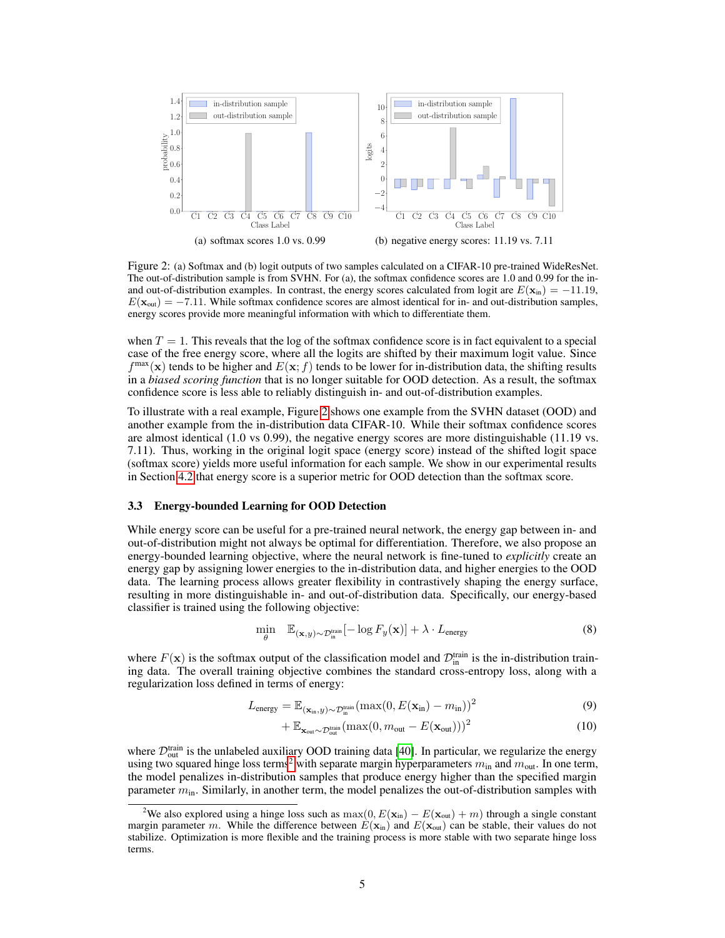

<span id="page-4-1"></span>Figure 2: (a) Softmax and (b) logit outputs of two samples calculated on a CIFAR-10 pre-trained WideResNet. The out-of-distribution sample is from SVHN. For (a), the softmax confidence scores are 1.0 and 0.99 for the inand out-of-distribution examples. In contrast, the energy scores calculated from logit are  $E(\mathbf{x}_{in}) = -11.19$ ,  $E(\mathbf{x}_{out}) = -7.11$ . While softmax confidence scores are almost identical for in- and out-distribution samples, energy scores provide more meaningful information with which to differentiate them.

when  $T = 1$ . This reveals that the log of the softmax confidence score is in fact equivalent to a special case of the free energy score, where all the logits are shifted by their maximum logit value. Since  $f^{\text{max}}(\mathbf{x})$  tends to be higher and  $E(\mathbf{x}; f)$  tends to be lower for in-distribution data, the shifting results in a *biased scoring function* that is no longer suitable for OOD detection. As a result, the softmax confidence score is less able to reliably distinguish in- and out-of-distribution examples.

To illustrate with a real example, Figure [2](#page-4-1) shows one example from the SVHN dataset (OOD) and another example from the in-distribution data CIFAR-10. While their softmax confidence scores are almost identical (1.0 vs 0.99), the negative energy scores are more distinguishable (11.19 vs. 7.11). Thus, working in the original logit space (energy score) instead of the shifted logit space (softmax score) yields more useful information for each sample. We show in our experimental results in Section [4.2](#page-6-0) that energy score is a superior metric for OOD detection than the softmax score.

#### <span id="page-4-0"></span>3.3 Energy-bounded Learning for OOD Detection

While energy score can be useful for a pre-trained neural network, the energy gap between in- and out-of-distribution might not always be optimal for differentiation. Therefore, we also propose an energy-bounded learning objective, where the neural network is fine-tuned to *explicitly* create an energy gap by assigning lower energies to the in-distribution data, and higher energies to the OOD data. The learning process allows greater flexibility in contrastively shaping the energy surface, resulting in more distinguishable in- and out-of-distribution data. Specifically, our energy-based classifier is trained using the following objective:

$$
\min_{\theta} \quad \mathbb{E}_{(\mathbf{x},y) \sim \mathcal{D}_{\text{in}}^{\text{train}}}[-\log F_y(\mathbf{x})] + \lambda \cdot L_{\text{energy}} \tag{8}
$$

where  $F(\mathbf{x})$  is the softmax output of the classification model and  $\mathcal{D}_{\text{in}}^{\text{train}}$  is the in-distribution training data. The overall training objective combines the standard cross-entropy loss, along with a regularization loss defined in terms of energy:

$$
L_{\text{energy}} = \mathbb{E}_{(\mathbf{x}_{\text{in}}, y) \sim \mathcal{D}_{\text{in}}^{\text{train}}}(\max(0, E(\mathbf{x}_{\text{in}}) - m_{\text{in}}))^2
$$
\n(9)

$$
+\mathbb{E}_{\mathbf{x}_{out}\sim\mathcal{D}_{out}^{train}}(\max(0, m_{out} - E(\mathbf{x}_{out})))^{2}
$$
 (10)

where  $\mathcal{D}_{out}^{train}$  is the unlabeled auxiliary OOD training data [\[40\]](#page-11-0). In particular, we regularize the energy using two squared hinge loss terms<sup>[2](#page-4-2)</sup> with separate margin hyperparameters  $m_{\text{in}}$  and  $m_{\text{out}}$ . In one term, the model penalizes in-distribution samples that produce energy higher than the specified margin parameter  $m_{\text{in}}$ . Similarly, in another term, the model penalizes the out-of-distribution samples with

<span id="page-4-2"></span><sup>&</sup>lt;sup>2</sup>We also explored using a hinge loss such as max $(0, E(\mathbf{x}_{in}) - E(\mathbf{x}_{out}) + m)$  through a single constant margin parameter m. While the difference between  $E(\mathbf{x}_{in})$  and  $E(\mathbf{x}_{out})$  can be stable, their values do not stabilize. Optimization is more flexible and the training process is more stable with two separate hinge loss terms.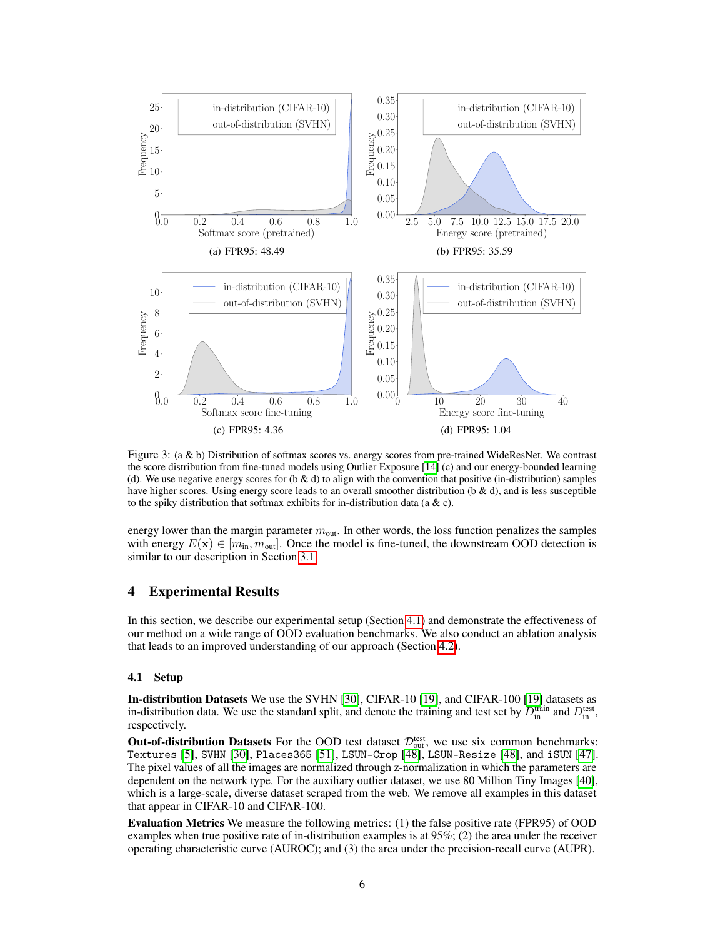<span id="page-5-4"></span><span id="page-5-3"></span>

<span id="page-5-2"></span>Figure 3: (a & b) Distribution of softmax scores vs. energy scores from pre-trained WideResNet. We contrast the score distribution from fine-tuned models using Outlier Exposure [\[14\]](#page-10-8) (c) and our energy-bounded learning (d). We use negative energy scores for  $(b \& d)$  to align with the convention that positive (in-distribution) samples have higher scores. Using energy score leads to an overall smoother distribution (b & d), and is less susceptible to the spiky distribution that softmax exhibits for in-distribution data (a  $\& c$ ).

energy lower than the margin parameter  $m_{\text{out}}$ . In other words, the loss function penalizes the samples with energy  $E(\mathbf{x}) \in [m_{in}, m_{out}]$ . Once the model is fine-tuned, the downstream OOD detection is similar to our description in Section [3.1.](#page-2-2)

# <span id="page-5-0"></span>4 Experimental Results

In this section, we describe our experimental setup (Section [4.1\)](#page-5-1) and demonstrate the effectiveness of our method on a wide range of OOD evaluation benchmarks. We also conduct an ablation analysis that leads to an improved understanding of our approach (Section [4.2\)](#page-6-0).

#### <span id="page-5-1"></span>4.1 Setup

In-distribution Datasets We use the SVHN [\[30\]](#page-10-10), CIFAR-10 [\[19\]](#page-10-11), and CIFAR-100 [\[19\]](#page-10-11) datasets as in-distribution data. We use the standard split, and denote the training and test set by  $D_{\text{in}}^{\text{train}}$  and  $D_{\text{in}}^{\text{test}}$ , respectively.

Out-of-distribution Datasets For the OOD test dataset  $\mathcal{D}_{out}^{\text{test}}$ , we use six common benchmarks: Textures [\[5\]](#page-9-5), SVHN [\[30\]](#page-10-10), Places365 [\[51\]](#page-12-0), LSUN-Crop [\[48\]](#page-11-1), LSUN-Resize [\[48\]](#page-11-1), and iSUN [\[47\]](#page-11-2). The pixel values of all the images are normalized through z-normalization in which the parameters are dependent on the network type. For the auxiliary outlier dataset, we use 80 Million Tiny Images [\[40\]](#page-11-0), which is a large-scale, diverse dataset scraped from the web. We remove all examples in this dataset that appear in CIFAR-10 and CIFAR-100.

Evaluation Metrics We measure the following metrics: (1) the false positive rate (FPR95) of OOD examples when true positive rate of in-distribution examples is at 95%; (2) the area under the receiver operating characteristic curve (AUROC); and (3) the area under the precision-recall curve (AUPR).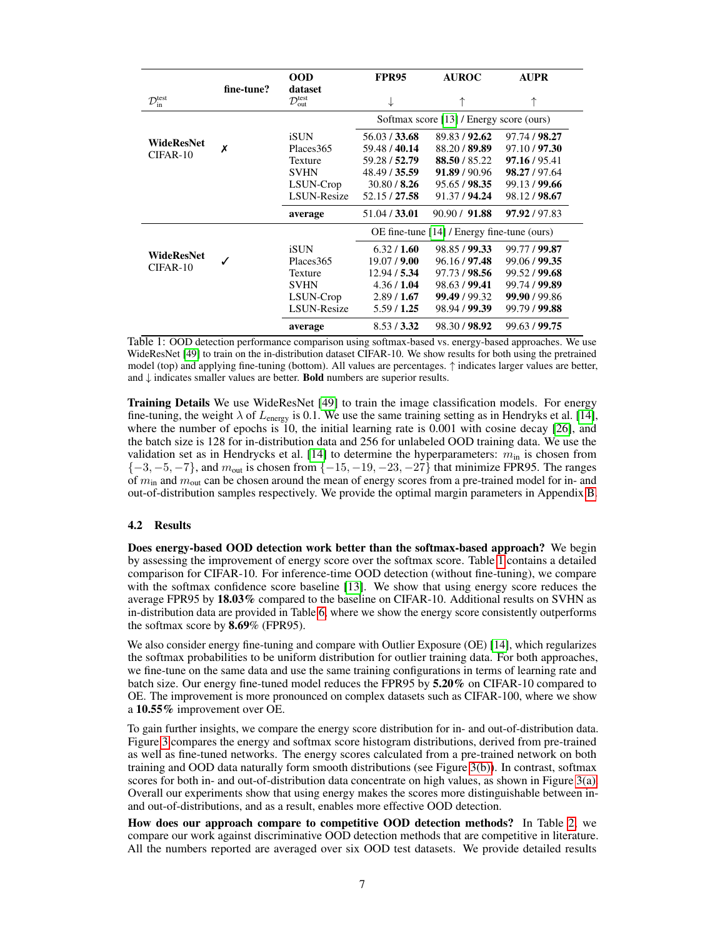|                           |            | <b>OOD</b>                            | <b>FPR95</b>                                | <b>AUROC</b>  | <b>AUPR</b>   |  |
|---------------------------|------------|---------------------------------------|---------------------------------------------|---------------|---------------|--|
| $\mathcal{D}_{in}^{test}$ | fine-tune? | dataset<br>$\mathcal{D}_{out}^{test}$ | ↓                                           | 木             | ↑             |  |
|                           | Х          |                                       | Softmax score [13] / Energy score (ours)    |               |               |  |
| WideResNet                |            | iSUN                                  | 56.03 / 33.68                               | 89.83/92.62   | 97.74 / 98.27 |  |
| CIFAR-10                  |            | Places 365                            | 59.48 / 40.14                               | 88.20 / 89.89 | 97.10 / 97.30 |  |
|                           |            | Texture                               | 59.28 / 52.79                               | 88.50/85.22   | 97.16 / 95.41 |  |
|                           |            | <b>SVHN</b>                           | 48.49 / 35.59                               | 91.89 / 90.96 | 98.27 / 97.64 |  |
|                           |            | LSUN-Crop                             | 30.80 / 8.26                                | 95.65 / 98.35 | 99.13/99.66   |  |
|                           |            | <b>LSUN-Resize</b>                    | 52.15 / 27.58                               | 91.37 / 94.24 | 98.12/98.67   |  |
|                           |            | average                               | 51.04 / 33.01                               | 90.90 / 91.88 | 97.92 / 97.83 |  |
|                           |            |                                       | OE fine-tune [14] / Energy fine-tune (ours) |               |               |  |
| WideResNet                |            | iSUN                                  | 6.32 / 1.60                                 | 98.85 / 99.33 | 99.77 / 99.87 |  |
|                           |            | Places 365                            | 19.07 / 9.00                                | 96.16 / 97.48 | 99.06 / 99.35 |  |
| CIFAR-10                  |            | Texture                               | 12.94 / 5.34                                | 97.73 / 98.56 | 99.52 / 99.68 |  |
|                           |            | <b>SVHN</b>                           | 4.36 / 1.04                                 | 98.63 / 99.41 | 99.74 / 99.89 |  |
|                           |            | LSUN-Crop                             | 2.89/1.67                                   | 99.49 / 99.32 | 99.90 / 99.86 |  |
|                           |            | <b>LSUN-Resize</b>                    | 5.59/1.25                                   | 98.94 / 99.39 | 99.79 / 99.88 |  |
|                           |            | average                               | 8.53/3.32                                   | 98.30 / 98.92 | 99.63 / 99.75 |  |

<span id="page-6-1"></span>Table 1: OOD detection performance comparison using softmax-based vs. energy-based approaches. We use WideResNet [\[49\]](#page-11-3) to train on the in-distribution dataset CIFAR-10. We show results for both using the pretrained model (top) and applying fine-tuning (bottom). All values are percentages. ↑ indicates larger values are better, and ↓ indicates smaller values are better. Bold numbers are superior results.

Training Details We use WideResNet [\[49\]](#page-11-3) to train the image classification models. For energy fine-tuning, the weight  $\lambda$  of  $L_{\text{energy}}$  is 0.1. We use the same training setting as in Hendryks et al. [\[14\]](#page-10-8), where the number of epochs is 10, the initial learning rate is 0.001 with cosine decay [\[26\]](#page-10-12), and the batch size is 128 for in-distribution data and 256 for unlabeled OOD training data. We use the validation set as in Hendrycks et al. [\[14\]](#page-10-8) to determine the hyperparameters:  $m_{\text{in}}$  is chosen from  $\{-3, -5, -7\}$ , and  $m_{\text{out}}$  is chosen from  $\{-15, -19, -23, -27\}$  that minimize FPR95. The ranges of  $m<sub>in</sub>$  and  $m<sub>out</sub>$  can be chosen around the mean of energy scores from a pre-trained model for in- and out-of-distribution samples respectively. We provide the optimal margin parameters in Appendix [B.](#page-13-0)

#### <span id="page-6-0"></span>4.2 Results

Does energy-based OOD detection work better than the softmax-based approach? We begin by assessing the improvement of energy score over the softmax score. Table [1](#page-6-1) contains a detailed comparison for CIFAR-10. For inference-time OOD detection (without fine-tuning), we compare with the softmax confidence score baseline [\[13\]](#page-10-0). We show that using energy score reduces the average FPR95 by 18.03% compared to the baseline on CIFAR-10. Additional results on SVHN as in-distribution data are provided in Table [6,](#page-15-0) where we show the energy score consistently outperforms the softmax score by 8.69% (FPR95).

We also consider energy fine-tuning and compare with Outlier Exposure (OE) [\[14\]](#page-10-8), which regularizes the softmax probabilities to be uniform distribution for outlier training data. For both approaches, we fine-tune on the same data and use the same training configurations in terms of learning rate and batch size. Our energy fine-tuned model reduces the FPR95 by 5.20% on CIFAR-10 compared to OE. The improvement is more pronounced on complex datasets such as CIFAR-100, where we show a 10.55% improvement over OE.

To gain further insights, we compare the energy score distribution for in- and out-of-distribution data. Figure [3](#page-5-2) compares the energy and softmax score histogram distributions, derived from pre-trained as well as fine-tuned networks. The energy scores calculated from a pre-trained network on both training and OOD data naturally form smooth distributions (see Figure [3\(b\)\)](#page-5-3). In contrast, softmax scores for both in- and out-of-distribution data concentrate on high values, as shown in Figure [3\(a\).](#page-5-4) Overall our experiments show that using energy makes the scores more distinguishable between inand out-of-distributions, and as a result, enables more effective OOD detection.

How does our approach compare to competitive OOD detection methods? In Table [2,](#page-7-1) we compare our work against discriminative OOD detection methods that are competitive in literature. All the numbers reported are averaged over six OOD test datasets. We provide detailed results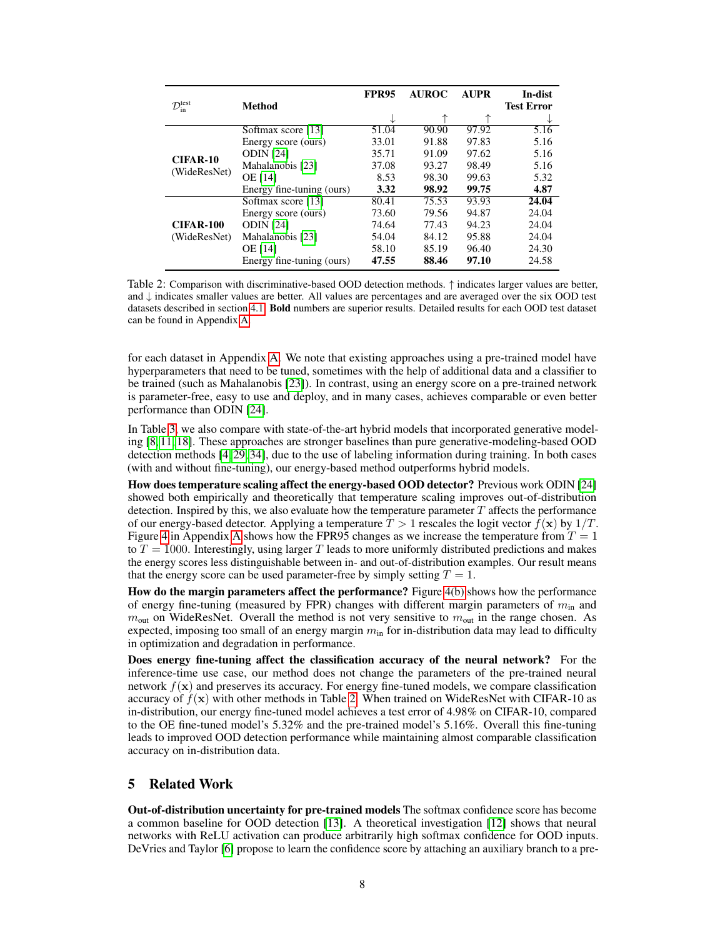|                                         |                           | <b>FPR95</b> | <b>AUROC</b> | <b>AUPR</b> | In-dist           |
|-----------------------------------------|---------------------------|--------------|--------------|-------------|-------------------|
| $\mathcal{D}_{\text{in}}^{\text{test}}$ | Method                    |              |              |             | <b>Test Error</b> |
|                                         |                           |              |              |             | N                 |
|                                         | Softmax score [13]        | 51.04        | 90.90        | 97.92       | 5.16              |
|                                         | Energy score (ours)       | 33.01        | 91.88        | 97.83       | 5.16              |
| <b>CIFAR-10</b>                         | <b>ODIN</b> [24]          | 35.71        | 91.09        | 97.62       | 5.16              |
| (WideResNet)                            | Mahalanobis [23]          | 37.08        | 93.27        | 98.49       | 5.16              |
|                                         | <b>OE</b> [14]            | 8.53         | 98.30        | 99.63       | 5.32              |
|                                         | Energy fine-tuning (ours) | 3.32         | 98.92        | 99.75       | 4.87              |
|                                         | Softmax score [13]        | 80.41        | 75.53        | 93.93       | 24.04             |
|                                         | Energy score (ours)       | 73.60        | 79.56        | 94.87       | 24.04             |
| <b>CIFAR-100</b><br>(WideResNet)        | <b>ODIN</b> [24]          | 74.64        | 77.43        | 94.23       | 24.04             |
|                                         | Mahalanobis [23]          | 54.04        | 84.12        | 95.88       | 24.04             |
|                                         | <b>OE</b> [14]            | 58.10        | 85.19        | 96.40       | 24.30             |
|                                         | Energy fine-tuning (ours) | 47.55        | 88.46        | 97.10       | 24.58             |

<span id="page-7-1"></span>Table 2: Comparison with discriminative-based OOD detection methods. ↑ indicates larger values are better, and ↓ indicates smaller values are better. All values are percentages and are averaged over the six OOD test datasets described in section [4.1.](#page-5-1) Bold numbers are superior results. Detailed results for each OOD test dataset can be found in Appendix [A.](#page-13-1)

for each dataset in Appendix [A.](#page-13-1) We note that existing approaches using a pre-trained model have hyperparameters that need to be tuned, sometimes with the help of additional data and a classifier to be trained (such as Mahalanobis [\[23\]](#page-10-3)). In contrast, using an energy score on a pre-trained network is parameter-free, easy to use and deploy, and in many cases, achieves comparable or even better performance than ODIN [\[24\]](#page-10-13).

In Table [3,](#page-8-1) we also compare with state-of-the-art hybrid models that incorporated generative modeling [\[8,](#page-9-6) [11,](#page-9-2) [18\]](#page-10-14). These approaches are stronger baselines than pure generative-modeling-based OOD detection methods [\[4,](#page-9-7) [29,](#page-10-9) [34\]](#page-11-4), due to the use of labeling information during training. In both cases (with and without fine-tuning), our energy-based method outperforms hybrid models.

How does temperature scaling affect the energy-based OOD detector? Previous work ODIN [\[24\]](#page-10-13) showed both empirically and theoretically that temperature scaling improves out-of-distribution detection. Inspired by this, we also evaluate how the temperature parameter  $T$  affects the performance of our energy-based detector. Applying a temperature  $T > 1$  rescales the logit vector  $f(\mathbf{x})$  by  $1/T$ . Figure [4](#page-15-1) in [A](#page-13-1)ppendix A shows how the FPR95 changes as we increase the temperature from  $T = 1$ to  $T = 1000$ . Interestingly, using larger T leads to more uniformly distributed predictions and makes the energy scores less distinguishable between in- and out-of-distribution examples. Our result means that the energy score can be used parameter-free by simply setting  $T = 1$ .

How do the margin parameters affect the performance? Figure [4\(b\)](#page-15-2) shows how the performance of energy fine-tuning (measured by FPR) changes with different margin parameters of  $m_{\text{in}}$  and  $m_{\text{out}}$  on WideResNet. Overall the method is not very sensitive to  $m_{\text{out}}$  in the range chosen. As expected, imposing too small of an energy margin  $m_{\text{in}}$  for in-distribution data may lead to difficulty in optimization and degradation in performance.

Does energy fine-tuning affect the classification accuracy of the neural network? For the inference-time use case, our method does not change the parameters of the pre-trained neural network  $f(x)$  and preserves its accuracy. For energy fine-tuned models, we compare classification accuracy of  $f(\mathbf{x})$  with other methods in Table [2.](#page-7-1) When trained on WideResNet with CIFAR-10 as in-distribution, our energy fine-tuned model achieves a test error of 4.98% on CIFAR-10, compared to the OE fine-tuned model's 5.32% and the pre-trained model's 5.16%. Overall this fine-tuning leads to improved OOD detection performance while maintaining almost comparable classification accuracy on in-distribution data.

## <span id="page-7-0"></span>5 Related Work

Out-of-distribution uncertainty for pre-trained models The softmax confidence score has become a common baseline for OOD detection [\[13\]](#page-10-0). A theoretical investigation [\[12\]](#page-9-4) shows that neural networks with ReLU activation can produce arbitrarily high softmax confidence for OOD inputs. DeVries and Taylor [\[6\]](#page-9-8) propose to learn the confidence score by attaching an auxiliary branch to a pre-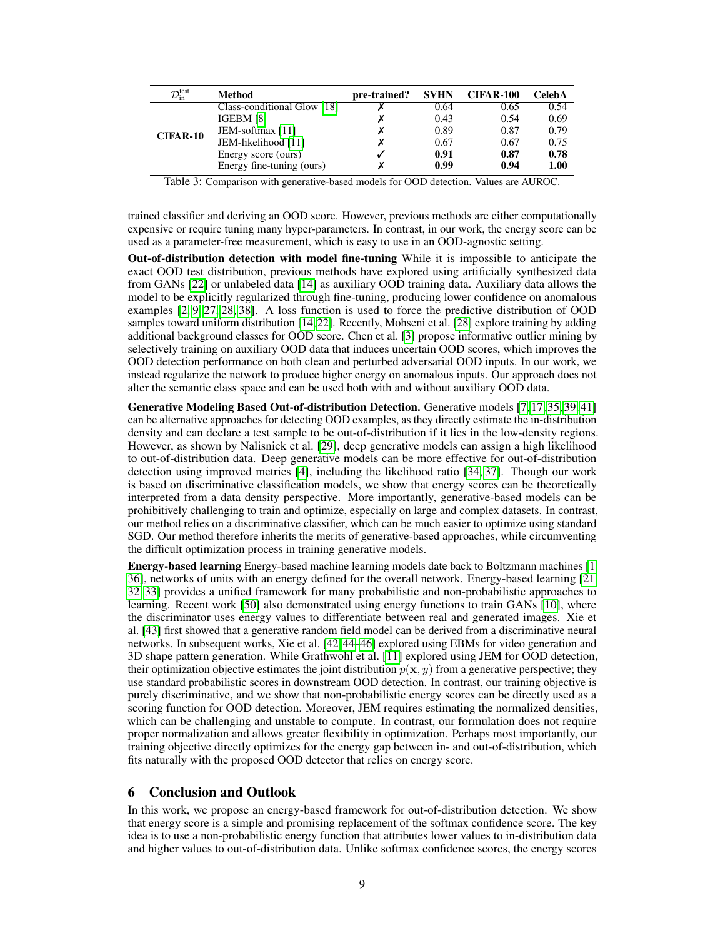| $\mathcal{D}_\text{in}^\text{test}$ | Method                      | pre-trained? | <b>SVHN</b> | <b>CIFAR-100</b> | CelebA |
|-------------------------------------|-----------------------------|--------------|-------------|------------------|--------|
| <b>CIFAR-10</b>                     | Class-conditional Glow [18] |              | 0.64        | 0.65             | 0.54   |
|                                     | IGEBM [8]                   |              | 0.43        | 0.54             | 0.69   |
|                                     | JEM-softmax [11]            |              | 0.89        | 0.87             | 0.79   |
|                                     | JEM-likelihood [11]         |              | 0.67        | 0.67             | 0.75   |
|                                     | Energy score (ours)         |              | 0.91        | 0.87             | 0.78   |
|                                     | Energy fine-tuning (ours)   |              | 0.99        | 0.94             | 1.00   |

<span id="page-8-1"></span>Table 3: Comparison with generative-based models for OOD detection. Values are AUROC.

trained classifier and deriving an OOD score. However, previous methods are either computationally expensive or require tuning many hyper-parameters. In contrast, in our work, the energy score can be used as a parameter-free measurement, which is easy to use in an OOD-agnostic setting.

Out-of-distribution detection with model fine-tuning While it is impossible to anticipate the exact OOD test distribution, previous methods have explored using artificially synthesized data from GANs [\[22\]](#page-10-15) or unlabeled data [\[14\]](#page-10-8) as auxiliary OOD training data. Auxiliary data allows the model to be explicitly regularized through fine-tuning, producing lower confidence on anomalous examples [\[2,](#page-9-0) [9,](#page-9-9) [27,](#page-10-16) [28,](#page-10-5) [38\]](#page-11-5). A loss function is used to force the predictive distribution of OOD samples toward uniform distribution [\[14,](#page-10-8)[22\]](#page-10-15). Recently, Mohseni et al. [\[28\]](#page-10-5) explore training by adding additional background classes for OOD score. Chen et al. [\[3\]](#page-9-1) propose informative outlier mining by selectively training on auxiliary OOD data that induces uncertain OOD scores, which improves the OOD detection performance on both clean and perturbed adversarial OOD inputs. In our work, we instead regularize the network to produce higher energy on anomalous inputs. Our approach does not alter the semantic class space and can be used both with and without auxiliary OOD data.

Generative Modeling Based Out-of-distribution Detection. Generative models [\[7,](#page-9-10) [17,](#page-10-17) [35,](#page-11-6) [39,](#page-11-7) [41\]](#page-11-8) can be alternative approaches for detecting OOD examples, as they directly estimate the in-distribution density and can declare a test sample to be out-of-distribution if it lies in the low-density regions. However, as shown by Nalisnick et al. [\[29\]](#page-10-9), deep generative models can assign a high likelihood to out-of-distribution data. Deep generative models can be more effective for out-of-distribution detection using improved metrics [\[4\]](#page-9-7), including the likelihood ratio [\[34,](#page-11-4) [37\]](#page-11-9). Though our work is based on discriminative classification models, we show that energy scores can be theoretically interpreted from a data density perspective. More importantly, generative-based models can be prohibitively challenging to train and optimize, especially on large and complex datasets. In contrast, our method relies on a discriminative classifier, which can be much easier to optimize using standard SGD. Our method therefore inherits the merits of generative-based approaches, while circumventing the difficult optimization process in training generative models.

Energy-based learning Energy-based machine learning models date back to Boltzmann machines [\[1,](#page-9-11) [36\]](#page-11-10), networks of units with an energy defined for the overall network. Energy-based learning [\[21,](#page-10-7) [32,](#page-11-11) [33\]](#page-11-12) provides a unified framework for many probabilistic and non-probabilistic approaches to learning. Recent work [\[50\]](#page-11-13) also demonstrated using energy functions to train GANs [\[10\]](#page-9-12), where the discriminator uses energy values to differentiate between real and generated images. Xie et al. [\[43\]](#page-11-14) first showed that a generative random field model can be derived from a discriminative neural networks. In subsequent works, Xie et al. [\[42,](#page-11-15) [44–](#page-11-16)[46\]](#page-11-17) explored using EBMs for video generation and 3D shape pattern generation. While Grathwohl et al. [\[11\]](#page-9-2) explored using JEM for OOD detection, their optimization objective estimates the joint distribution  $p(x, y)$  from a generative perspective; they use standard probabilistic scores in downstream OOD detection. In contrast, our training objective is purely discriminative, and we show that non-probabilistic energy scores can be directly used as a scoring function for OOD detection. Moreover, JEM requires estimating the normalized densities, which can be challenging and unstable to compute. In contrast, our formulation does not require proper normalization and allows greater flexibility in optimization. Perhaps most importantly, our training objective directly optimizes for the energy gap between in- and out-of-distribution, which fits naturally with the proposed OOD detector that relies on energy score.

#### <span id="page-8-0"></span>6 Conclusion and Outlook

In this work, we propose an energy-based framework for out-of-distribution detection. We show that energy score is a simple and promising replacement of the softmax confidence score. The key idea is to use a non-probabilistic energy function that attributes lower values to in-distribution data and higher values to out-of-distribution data. Unlike softmax confidence scores, the energy scores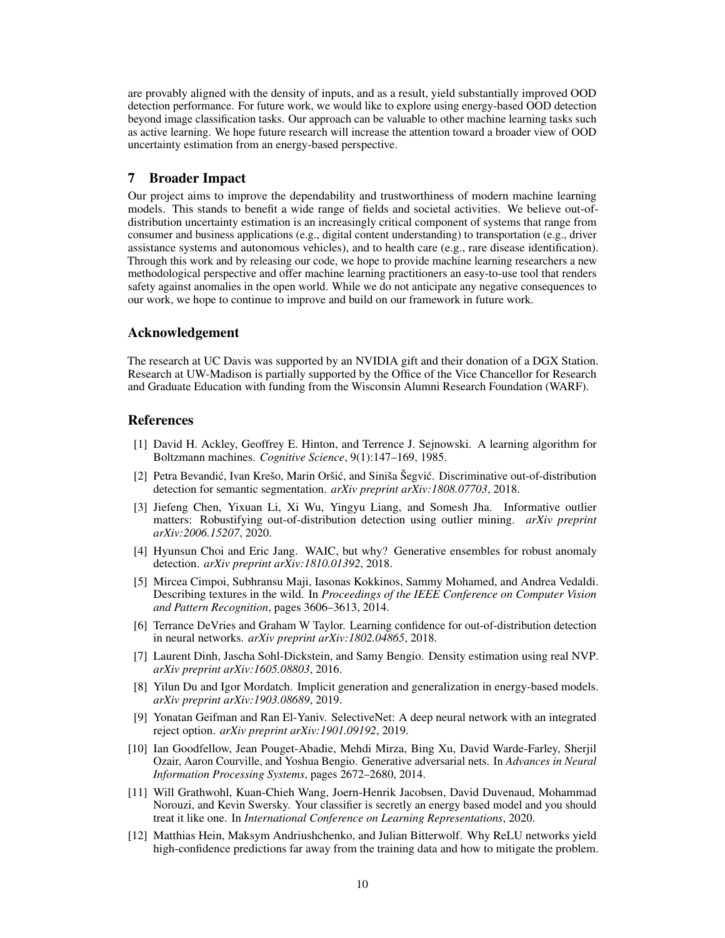are provably aligned with the density of inputs, and as a result, yield substantially improved OOD detection performance. For future work, we would like to explore using energy-based OOD detection beyond image classification tasks. Our approach can be valuable to other machine learning tasks such as active learning. We hope future research will increase the attention toward a broader view of OOD uncertainty estimation from an energy-based perspective.

## <span id="page-9-3"></span>7 Broader Impact

Our project aims to improve the dependability and trustworthiness of modern machine learning models. This stands to benefit a wide range of fields and societal activities. We believe out-ofdistribution uncertainty estimation is an increasingly critical component of systems that range from consumer and business applications (e.g., digital content understanding) to transportation (e.g., driver assistance systems and autonomous vehicles), and to health care (e.g., rare disease identification). Through this work and by releasing our code, we hope to provide machine learning researchers a new methodological perspective and offer machine learning practitioners an easy-to-use tool that renders safety against anomalies in the open world. While we do not anticipate any negative consequences to our work, we hope to continue to improve and build on our framework in future work.

## Acknowledgement

The research at UC Davis was supported by an NVIDIA gift and their donation of a DGX Station. Research at UW-Madison is partially supported by the Office of the Vice Chancellor for Research and Graduate Education with funding from the Wisconsin Alumni Research Foundation (WARF).

### References

- <span id="page-9-11"></span>[1] David H. Ackley, Geoffrey E. Hinton, and Terrence J. Sejnowski. A learning algorithm for Boltzmann machines. *Cognitive Science*, 9(1):147–169, 1985.
- <span id="page-9-0"></span>[2] Petra Bevandić, Ivan Krešo, Marin Oršić, and Siniša Šegvić. Discriminative out-of-distribution detection for semantic segmentation. *arXiv preprint arXiv:1808.07703*, 2018.
- <span id="page-9-1"></span>[3] Jiefeng Chen, Yixuan Li, Xi Wu, Yingyu Liang, and Somesh Jha. Informative outlier matters: Robustifying out-of-distribution detection using outlier mining. *arXiv preprint arXiv:2006.15207*, 2020.
- <span id="page-9-7"></span>[4] Hyunsun Choi and Eric Jang. WAIC, but why? Generative ensembles for robust anomaly detection. *arXiv preprint arXiv:1810.01392*, 2018.
- <span id="page-9-5"></span>[5] Mircea Cimpoi, Subhransu Maji, Iasonas Kokkinos, Sammy Mohamed, and Andrea Vedaldi. Describing textures in the wild. In *Proceedings of the IEEE Conference on Computer Vision and Pattern Recognition*, pages 3606–3613, 2014.
- <span id="page-9-8"></span>[6] Terrance DeVries and Graham W Taylor. Learning confidence for out-of-distribution detection in neural networks. *arXiv preprint arXiv:1802.04865*, 2018.
- <span id="page-9-10"></span>[7] Laurent Dinh, Jascha Sohl-Dickstein, and Samy Bengio. Density estimation using real NVP. *arXiv preprint arXiv:1605.08803*, 2016.
- <span id="page-9-6"></span>[8] Yilun Du and Igor Mordatch. Implicit generation and generalization in energy-based models. *arXiv preprint arXiv:1903.08689*, 2019.
- <span id="page-9-9"></span>[9] Yonatan Geifman and Ran El-Yaniv. SelectiveNet: A deep neural network with an integrated reject option. *arXiv preprint arXiv:1901.09192*, 2019.
- <span id="page-9-12"></span>[10] Ian Goodfellow, Jean Pouget-Abadie, Mehdi Mirza, Bing Xu, David Warde-Farley, Sherjil Ozair, Aaron Courville, and Yoshua Bengio. Generative adversarial nets. In *Advances in Neural Information Processing Systems*, pages 2672–2680, 2014.
- <span id="page-9-2"></span>[11] Will Grathwohl, Kuan-Chieh Wang, Joern-Henrik Jacobsen, David Duvenaud, Mohammad Norouzi, and Kevin Swersky. Your classifier is secretly an energy based model and you should treat it like one. In *International Conference on Learning Representations*, 2020.
- <span id="page-9-4"></span>[12] Matthias Hein, Maksym Andriushchenko, and Julian Bitterwolf. Why ReLU networks yield high-confidence predictions far away from the training data and how to mitigate the problem.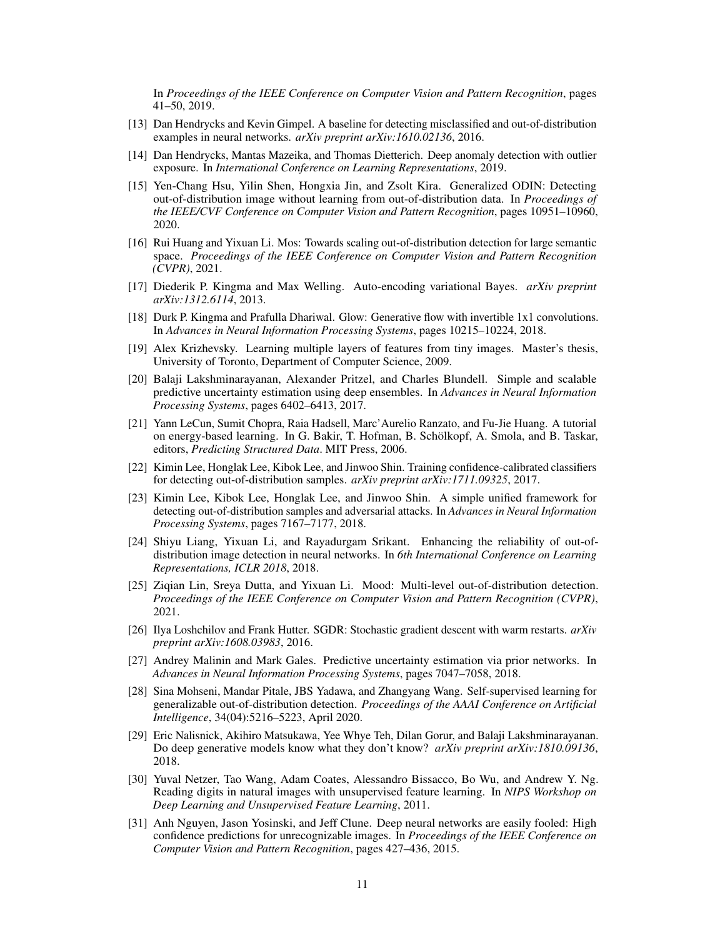In *Proceedings of the IEEE Conference on Computer Vision and Pattern Recognition*, pages 41–50, 2019.

- <span id="page-10-0"></span>[13] Dan Hendrycks and Kevin Gimpel. A baseline for detecting misclassified and out-of-distribution examples in neural networks. *arXiv preprint arXiv:1610.02136*, 2016.
- <span id="page-10-8"></span>[14] Dan Hendrycks, Mantas Mazeika, and Thomas Dietterich. Deep anomaly detection with outlier exposure. In *International Conference on Learning Representations*, 2019.
- [15] Yen-Chang Hsu, Yilin Shen, Hongxia Jin, and Zsolt Kira. Generalized ODIN: Detecting out-of-distribution image without learning from out-of-distribution data. In *Proceedings of the IEEE/CVF Conference on Computer Vision and Pattern Recognition*, pages 10951–10960, 2020.
- <span id="page-10-1"></span>[16] Rui Huang and Yixuan Li. Mos: Towards scaling out-of-distribution detection for large semantic space. *Proceedings of the IEEE Conference on Computer Vision and Pattern Recognition (CVPR)*, 2021.
- <span id="page-10-17"></span>[17] Diederik P. Kingma and Max Welling. Auto-encoding variational Bayes. *arXiv preprint arXiv:1312.6114*, 2013.
- <span id="page-10-14"></span>[18] Durk P. Kingma and Prafulla Dhariwal. Glow: Generative flow with invertible 1x1 convolutions. In *Advances in Neural Information Processing Systems*, pages 10215–10224, 2018.
- <span id="page-10-11"></span>[19] Alex Krizhevsky. Learning multiple layers of features from tiny images. Master's thesis, University of Toronto, Department of Computer Science, 2009.
- <span id="page-10-2"></span>[20] Balaji Lakshminarayanan, Alexander Pritzel, and Charles Blundell. Simple and scalable predictive uncertainty estimation using deep ensembles. In *Advances in Neural Information Processing Systems*, pages 6402–6413, 2017.
- <span id="page-10-7"></span>[21] Yann LeCun, Sumit Chopra, Raia Hadsell, Marc'Aurelio Ranzato, and Fu-Jie Huang. A tutorial on energy-based learning. In G. Bakir, T. Hofman, B. Schölkopf, A. Smola, and B. Taskar, editors, *Predicting Structured Data*. MIT Press, 2006.
- <span id="page-10-15"></span>[22] Kimin Lee, Honglak Lee, Kibok Lee, and Jinwoo Shin. Training confidence-calibrated classifiers for detecting out-of-distribution samples. *arXiv preprint arXiv:1711.09325*, 2017.
- <span id="page-10-3"></span>[23] Kimin Lee, Kibok Lee, Honglak Lee, and Jinwoo Shin. A simple unified framework for detecting out-of-distribution samples and adversarial attacks. In *Advances in Neural Information Processing Systems*, pages 7167–7177, 2018.
- <span id="page-10-13"></span>[24] Shiyu Liang, Yixuan Li, and Rayadurgam Srikant. Enhancing the reliability of out-ofdistribution image detection in neural networks. In *6th International Conference on Learning Representations, ICLR 2018*, 2018.
- <span id="page-10-4"></span>[25] Ziqian Lin, Sreya Dutta, and Yixuan Li. Mood: Multi-level out-of-distribution detection. *Proceedings of the IEEE Conference on Computer Vision and Pattern Recognition (CVPR)*, 2021.
- <span id="page-10-12"></span>[26] Ilya Loshchilov and Frank Hutter. SGDR: Stochastic gradient descent with warm restarts. *arXiv preprint arXiv:1608.03983*, 2016.
- <span id="page-10-16"></span>[27] Andrey Malinin and Mark Gales. Predictive uncertainty estimation via prior networks. In *Advances in Neural Information Processing Systems*, pages 7047–7058, 2018.
- <span id="page-10-5"></span>[28] Sina Mohseni, Mandar Pitale, JBS Yadawa, and Zhangyang Wang. Self-supervised learning for generalizable out-of-distribution detection. *Proceedings of the AAAI Conference on Artificial Intelligence*, 34(04):5216–5223, April 2020.
- <span id="page-10-9"></span>[29] Eric Nalisnick, Akihiro Matsukawa, Yee Whye Teh, Dilan Gorur, and Balaji Lakshminarayanan. Do deep generative models know what they don't know? *arXiv preprint arXiv:1810.09136*, 2018.
- <span id="page-10-10"></span>[30] Yuval Netzer, Tao Wang, Adam Coates, Alessandro Bissacco, Bo Wu, and Andrew Y. Ng. Reading digits in natural images with unsupervised feature learning. In *NIPS Workshop on Deep Learning and Unsupervised Feature Learning*, 2011.
- <span id="page-10-6"></span>[31] Anh Nguyen, Jason Yosinski, and Jeff Clune. Deep neural networks are easily fooled: High confidence predictions for unrecognizable images. In *Proceedings of the IEEE Conference on Computer Vision and Pattern Recognition*, pages 427–436, 2015.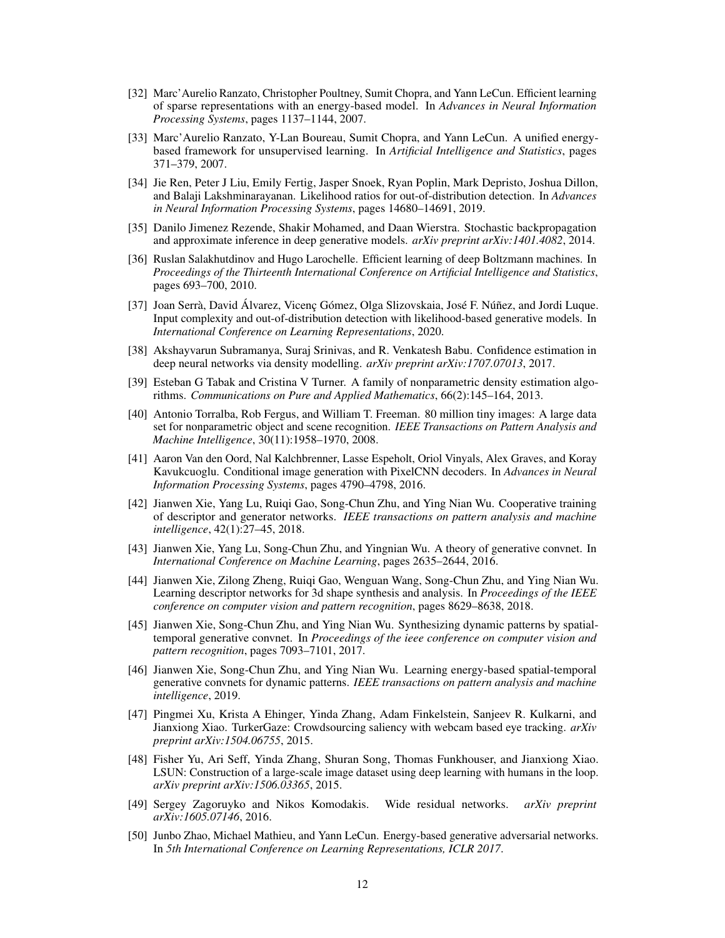- <span id="page-11-11"></span>[32] Marc'Aurelio Ranzato, Christopher Poultney, Sumit Chopra, and Yann LeCun. Efficient learning of sparse representations with an energy-based model. In *Advances in Neural Information Processing Systems*, pages 1137–1144, 2007.
- <span id="page-11-12"></span>[33] Marc'Aurelio Ranzato, Y-Lan Boureau, Sumit Chopra, and Yann LeCun. A unified energybased framework for unsupervised learning. In *Artificial Intelligence and Statistics*, pages 371–379, 2007.
- <span id="page-11-4"></span>[34] Jie Ren, Peter J Liu, Emily Fertig, Jasper Snoek, Ryan Poplin, Mark Depristo, Joshua Dillon, and Balaji Lakshminarayanan. Likelihood ratios for out-of-distribution detection. In *Advances in Neural Information Processing Systems*, pages 14680–14691, 2019.
- <span id="page-11-6"></span>[35] Danilo Jimenez Rezende, Shakir Mohamed, and Daan Wierstra. Stochastic backpropagation and approximate inference in deep generative models. *arXiv preprint arXiv:1401.4082*, 2014.
- <span id="page-11-10"></span>[36] Ruslan Salakhutdinov and Hugo Larochelle. Efficient learning of deep Boltzmann machines. In *Proceedings of the Thirteenth International Conference on Artificial Intelligence and Statistics*, pages 693–700, 2010.
- <span id="page-11-9"></span>[37] Joan Serrà, David Álvarez, Vicenç Gómez, Olga Slizovskaia, José F. Núñez, and Jordi Luque. Input complexity and out-of-distribution detection with likelihood-based generative models. In *International Conference on Learning Representations*, 2020.
- <span id="page-11-5"></span>[38] Akshayvarun Subramanya, Suraj Srinivas, and R. Venkatesh Babu. Confidence estimation in deep neural networks via density modelling. *arXiv preprint arXiv:1707.07013*, 2017.
- <span id="page-11-7"></span>[39] Esteban G Tabak and Cristina V Turner. A family of nonparametric density estimation algorithms. *Communications on Pure and Applied Mathematics*, 66(2):145–164, 2013.
- <span id="page-11-0"></span>[40] Antonio Torralba, Rob Fergus, and William T. Freeman. 80 million tiny images: A large data set for nonparametric object and scene recognition. *IEEE Transactions on Pattern Analysis and Machine Intelligence*, 30(11):1958–1970, 2008.
- <span id="page-11-8"></span>[41] Aaron Van den Oord, Nal Kalchbrenner, Lasse Espeholt, Oriol Vinyals, Alex Graves, and Koray Kavukcuoglu. Conditional image generation with PixelCNN decoders. In *Advances in Neural Information Processing Systems*, pages 4790–4798, 2016.
- <span id="page-11-15"></span>[42] Jianwen Xie, Yang Lu, Ruiqi Gao, Song-Chun Zhu, and Ying Nian Wu. Cooperative training of descriptor and generator networks. *IEEE transactions on pattern analysis and machine intelligence*, 42(1):27–45, 2018.
- <span id="page-11-14"></span>[43] Jianwen Xie, Yang Lu, Song-Chun Zhu, and Yingnian Wu. A theory of generative convnet. In *International Conference on Machine Learning*, pages 2635–2644, 2016.
- <span id="page-11-16"></span>[44] Jianwen Xie, Zilong Zheng, Ruiqi Gao, Wenguan Wang, Song-Chun Zhu, and Ying Nian Wu. Learning descriptor networks for 3d shape synthesis and analysis. In *Proceedings of the IEEE conference on computer vision and pattern recognition*, pages 8629–8638, 2018.
- [45] Jianwen Xie, Song-Chun Zhu, and Ying Nian Wu. Synthesizing dynamic patterns by spatialtemporal generative convnet. In *Proceedings of the ieee conference on computer vision and pattern recognition*, pages 7093–7101, 2017.
- <span id="page-11-17"></span>[46] Jianwen Xie, Song-Chun Zhu, and Ying Nian Wu. Learning energy-based spatial-temporal generative convnets for dynamic patterns. *IEEE transactions on pattern analysis and machine intelligence*, 2019.
- <span id="page-11-2"></span>[47] Pingmei Xu, Krista A Ehinger, Yinda Zhang, Adam Finkelstein, Sanjeev R. Kulkarni, and Jianxiong Xiao. TurkerGaze: Crowdsourcing saliency with webcam based eye tracking. *arXiv preprint arXiv:1504.06755*, 2015.
- <span id="page-11-1"></span>[48] Fisher Yu, Ari Seff, Yinda Zhang, Shuran Song, Thomas Funkhouser, and Jianxiong Xiao. LSUN: Construction of a large-scale image dataset using deep learning with humans in the loop. *arXiv preprint arXiv:1506.03365*, 2015.
- <span id="page-11-3"></span>[49] Sergey Zagoruyko and Nikos Komodakis. Wide residual networks. *arXiv preprint arXiv:1605.07146*, 2016.
- <span id="page-11-13"></span>[50] Junbo Zhao, Michael Mathieu, and Yann LeCun. Energy-based generative adversarial networks. In *5th International Conference on Learning Representations, ICLR 2017*.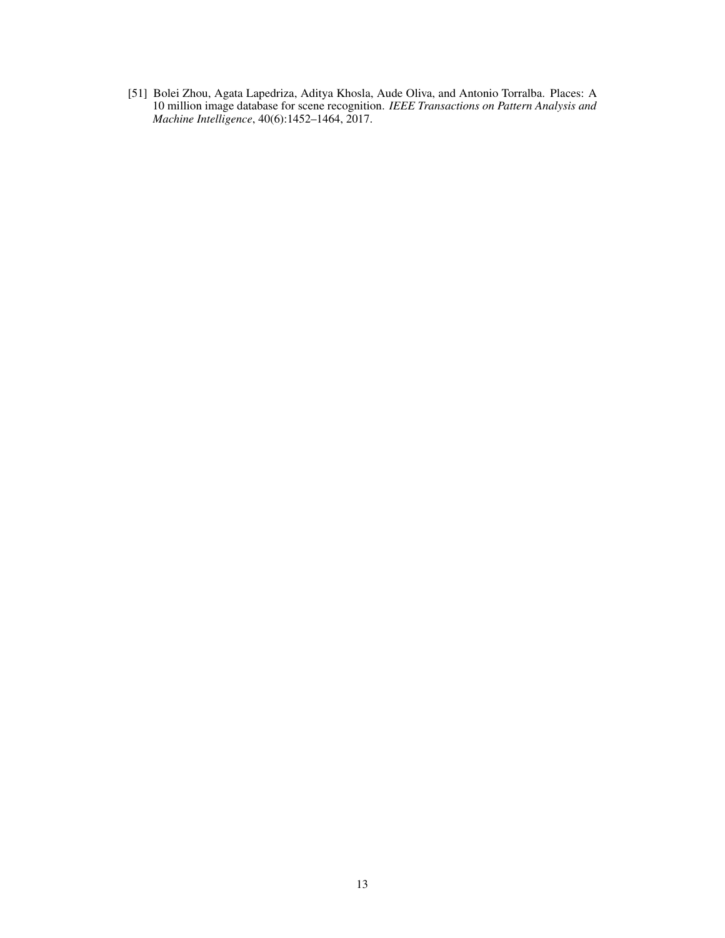<span id="page-12-0"></span>[51] Bolei Zhou, Agata Lapedriza, Aditya Khosla, Aude Oliva, and Antonio Torralba. Places: A 10 million image database for scene recognition. *IEEE Transactions on Pattern Analysis and Machine Intelligence*, 40(6):1452–1464, 2017.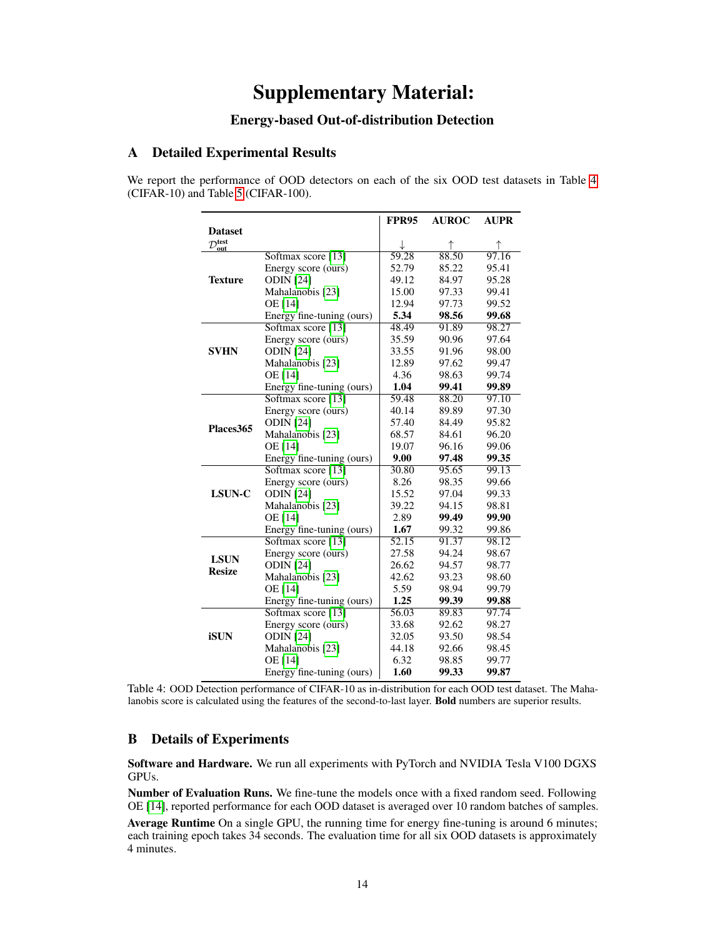# Supplementary Material:

# Energy-based Out-of-distribution Detection

## <span id="page-13-1"></span>A Detailed Experimental Results

We report the performance of OOD detectors on each of the six OOD test datasets in Table [4](#page-13-2) (CIFAR-10) and Table [5](#page-14-0) (CIFAR-100).

|                            |                           | <b>FPR95</b> | <b>AUROC</b> | <b>AUPR</b> |
|----------------------------|---------------------------|--------------|--------------|-------------|
| <b>Dataset</b>             |                           |              |              |             |
| $\mathcal{D}_{out}^{test}$ |                           |              | ↑            |             |
|                            | Softmax score [13]        | 59.28        | 88.50        | 97.16       |
|                            | Energy score (ours)       | 52.79        | 85.22        | 95.41       |
| <b>Texture</b>             | <b>ODIN</b> [24]          | 49.12        | 84.97        | 95.28       |
|                            | Mahalanobis [23]          | 15.00        | 97.33        | 99.41       |
|                            | OE [14]                   | 12.94        | 97.73        | 99.52       |
|                            | Energy fine-tuning (ours) | 5.34         | 98.56        | 99.68       |
|                            | Softmax score [13]        | 48.49        | 91.89        | 98.27       |
|                            | Energy score (ours)       | 35.59        | 90.96        | 97.64       |
| <b>SVHN</b>                | <b>ODIN</b> [24]          | 33.55        | 91.96        | 98.00       |
|                            | Mahalanobis [23]          | 12.89        | 97.62        | 99.47       |
|                            | OE [14]                   | 4.36         | 98.63        | 99.74       |
|                            | Energy fine-tuning (ours) | 1.04         | 99.41        | 99.89       |
|                            | Softmax score [13]        | 59.48        | 88.20        | 97.10       |
|                            | Energy score (ours)       | 40.14        | 89.89        | 97.30       |
|                            | <b>ODIN</b> [24]          | 57.40        | 84.49        | 95.82       |
| Places365                  | Mahalanobis [23]          | 68.57        | 84.61        | 96.20       |
|                            | OE [14]                   | 19.07        | 96.16        | 99.06       |
|                            | Energy fine-tuning (ours) | 9.00         | 97.48        | 99.35       |
|                            | Softmax score [13]        | 30.80        | 95.65        | 99.13       |
|                            | Energy score (ours)       | 8.26         | 98.35        | 99.66       |
| LSUN-C                     | <b>ODIN</b> [24]          | 15.52        | 97.04        | 99.33       |
|                            | Mahalanobis [23]          | 39.22        | 94.15        | 98.81       |
|                            | <b>OE</b> [14]            | 2.89         | 99.49        | 99.90       |
|                            | Energy fine-tuning (ours) | 1.67         | 99.32        | 99.86       |
|                            | Softmax score [13]        | 52.15        | 91.37        | 98.12       |
|                            | Energy score (ours)       | 27.58        | 94.24        | 98.67       |
| <b>LSUN</b>                | <b>ODIN</b> [24]          | 26.62        | 94.57        | 98.77       |
| <b>Resize</b>              | Mahalanobis [23]          | 42.62        | 93.23        | 98.60       |
|                            | <b>OE</b> [14]            | 5.59         | 98.94        | 99.79       |
|                            | Energy fine-tuning (ours) | 1.25         | 99.39        | 99.88       |
|                            | Softmax score [13]        | 56.03        | 89.83        | 97.74       |
|                            | Energy score (ours)       | 33.68        | 92.62        | 98.27       |
| <b>iSUN</b>                | <b>ODIN</b> [24]          | 32.05        | 93.50        | 98.54       |
|                            | Mahalanobis [23]          | 44.18        | 92.66        | 98.45       |
|                            | <b>OE</b> [14]            | 6.32         | 98.85        | 99.77       |
|                            | Energy fine-tuning (ours) | 1.60         | 99.33        | 99.87       |

<span id="page-13-2"></span>Table 4: OOD Detection performance of CIFAR-10 as in-distribution for each OOD test dataset. The Mahalanobis score is calculated using the features of the second-to-last layer. Bold numbers are superior results.

## <span id="page-13-0"></span>B Details of Experiments

Software and Hardware. We run all experiments with PyTorch and NVIDIA Tesla V100 DGXS GPUs.

Number of Evaluation Runs. We fine-tune the models once with a fixed random seed. Following OE [\[14\]](#page-10-8), reported performance for each OOD dataset is averaged over 10 random batches of samples.

Average Runtime On a single GPU, the running time for energy fine-tuning is around 6 minutes; each training epoch takes 34 seconds. The evaluation time for all six OOD datasets is approximately 4 minutes.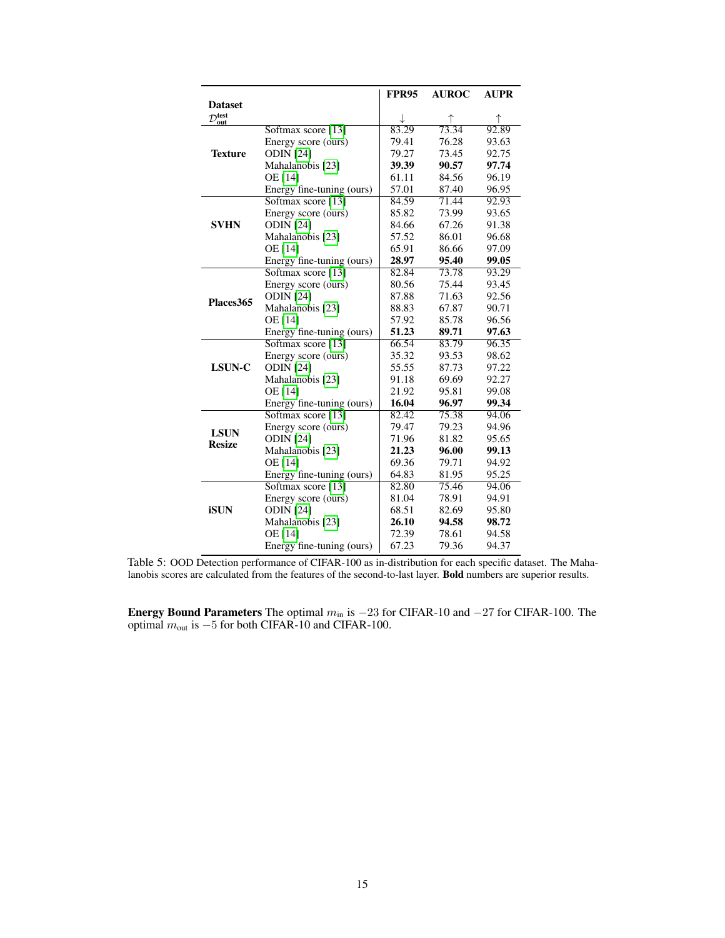|                            |                           | <b>FPR95</b> | <b>AUROC</b> | <b>AUPR</b> |
|----------------------------|---------------------------|--------------|--------------|-------------|
| <b>Dataset</b>             |                           |              |              |             |
| $\mathcal{D}_{out}^{test}$ |                           |              | ↑            |             |
|                            | Softmax score [13]        | 83.29        | 73.34        | 92.89       |
|                            | Energy score (ours)       | 79.41        | 76.28        | 93.63       |
| <b>Texture</b>             | <b>ODIN</b> [24]          | 79.27        | 73.45        | 92.75       |
|                            | Mahalanobis [23]          | 39.39        | 90.57        | 97.74       |
|                            | OE [14]                   | 61.11        | 84.56        | 96.19       |
|                            | Energy fine-tuning (ours) | 57.01        | 87.40        | 96.95       |
|                            | Softmax score [13]        | 84.59        | 71.44        | 92.93       |
|                            | Energy score (ours)       | 85.82        | 73.99        | 93.65       |
| <b>SVHN</b>                | <b>ODIN</b> [24]          | 84.66        | 67.26        | 91.38       |
|                            | Mahalanobis [23]          | 57.52        | 86.01        | 96.68       |
|                            | OE [14]                   | 65.91        | 86.66        | 97.09       |
|                            | Energy fine-tuning (ours) | 28.97        | 95.40        | 99.05       |
|                            | Softmax score [13]        | 82.84        | 73.78        | 93.29       |
|                            | Energy score (ours)       | 80.56        | 75.44        | 93.45       |
|                            | <b>ODIN</b> [24]          | 87.88        | 71.63        | 92.56       |
| Places <sub>365</sub>      | Mahalanobis [23]          | 88.83        | 67.87        | 90.71       |
|                            | <b>OE</b> [14]            | 57.92        | 85.78        | 96.56       |
|                            | Energy fine-tuning (ours) | 51.23        | 89.71        | 97.63       |
|                            | Softmax score [13]        | 66.54        | 83.79        | 96.35       |
|                            | Energy score (ours)       | 35.32        | 93.53        | 98.62       |
| LSUN-C                     | <b>ODIN</b> [24]          | 55.55        | 87.73        | 97.22       |
|                            | Mahalanobis [23]          | 91.18        | 69.69        | 92.27       |
|                            | <b>OE</b> [14]            | 21.92        | 95.81        | 99.08       |
|                            | Energy fine-tuning (ours) | 16.04        | 96.97        | 99.34       |
|                            | Softmax score [13]        | 82.42        | 75.38        | 94.06       |
| <b>LSUN</b>                | Energy score (ours)       | 79.47        | 79.23        | 94.96       |
| <b>Resize</b>              | <b>ODIN</b> [24]          | 71.96        | 81.82        | 95.65       |
|                            | Mahalanobis [23]          | 21.23        | 96.00        | 99.13       |
|                            | <b>OE</b> [14]            | 69.36        | 79.71        | 94.92       |
|                            | Energy fine-tuning (ours) | 64.83        | 81.95        | 95.25       |
|                            | Softmax score [13]        | 82.80        | 75.46        | 94.06       |
|                            | Energy score (ours)       | 81.04        | 78.91        | 94.91       |
| <b>iSUN</b>                | <b>ODIN</b> [24]          | 68.51        | 82.69        | 95.80       |
|                            | Mahalanobis [23]          | 26.10        | 94.58        | 98.72       |
|                            | <b>OE</b> [14]            | 72.39        | 78.61        | 94.58       |
|                            | Energy fine-tuning (ours) | 67.23        | 79.36        | 94.37       |

<span id="page-14-0"></span>Table 5: OOD Detection performance of CIFAR-100 as in-distribution for each specific dataset. The Mahalanobis scores are calculated from the features of the second-to-last layer. Bold numbers are superior results.

Energy Bound Parameters The optimal  $m_{\text{in}}$  is  $-23$  for CIFAR-10 and  $-27$  for CIFAR-100. The optimal  $m_{\text{out}}$  is  $-5$  for both CIFAR-10 and CIFAR-100.